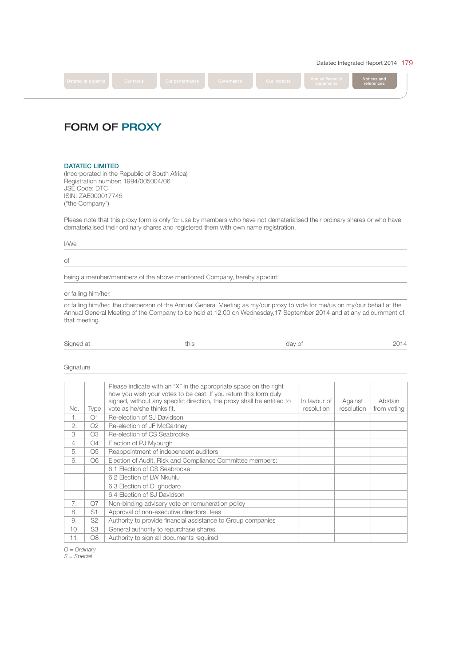Datatec Integrated Report 2014 179



# FORM OF PROXY

## DATATEC LIMITED

(Incorporated in the Republic of South Africa) Registration number: 1994/005004/06 JSE Code: DTC ISIN: ZAE000017745 ("the Company")

Please note that this proxy form is only for use by members who have not dematerialised their ordinary shares or who have dematerialised their ordinary shares and registered them with own name registration.

## I/We

#### of

being a member/members of the above mentioned Company, hereby appoint:

or failing him/her,

or failing him/her, the chairperson of the Annual General Meeting as my/our proxy to vote for me/us on my/our behalf at the Annual General Meeting of the Company to be held at 12:00 on Wednesday,17 September 2014 and at any adjournment of that meeting.

| Signed at |  | dav of |  |
|-----------|--|--------|--|
|-----------|--|--------|--|

Signature

|     |                | Please indicate with an "X" in the appropriate space on the right<br>how you wish your votes to be cast. If you return this form duly<br>signed, without any specific direction, the proxy shall be entitled to | In favour of | Against    | Abstain     |
|-----|----------------|-----------------------------------------------------------------------------------------------------------------------------------------------------------------------------------------------------------------|--------------|------------|-------------|
| No. | Type           | vote as he/she thinks fit.                                                                                                                                                                                      | resolution   | resolution | from voting |
| 1.  | O1             | Re-election of SJ Davidson                                                                                                                                                                                      |              |            |             |
| 2.  | O <sub>2</sub> | Re-election of JF McCartney                                                                                                                                                                                     |              |            |             |
| 3.  | O3             | Re-election of CS Seabrooke                                                                                                                                                                                     |              |            |             |
| 4.  | O4             | Election of PJ Myburgh                                                                                                                                                                                          |              |            |             |
| 5.  | O <sub>5</sub> | Reappointment of independent auditors                                                                                                                                                                           |              |            |             |
| 6.  | O <sub>6</sub> | Election of Audit, Risk and Compliance Committee members:                                                                                                                                                       |              |            |             |
|     |                | 6.1 Election of CS Seabrooke                                                                                                                                                                                    |              |            |             |
|     |                | 6.2 Election of LW Nkuhlu                                                                                                                                                                                       |              |            |             |
|     |                | 6.3 Election of O Ighodaro                                                                                                                                                                                      |              |            |             |
|     |                | 6.4 Election of SJ Davidson                                                                                                                                                                                     |              |            |             |
| 7.  | 07             | Non-binding advisory vote on remuneration policy                                                                                                                                                                |              |            |             |
| 8.  | S1             | Approval of non-executive directors' fees                                                                                                                                                                       |              |            |             |
| 9.  | S <sub>2</sub> | Authority to provide financial assistance to Group companies                                                                                                                                                    |              |            |             |
| 10. | S3             | General authority to repurchase shares                                                                                                                                                                          |              |            |             |
| 11. | O8             | Authority to sign all documents required                                                                                                                                                                        |              |            |             |

O = Ordinary

S = Special